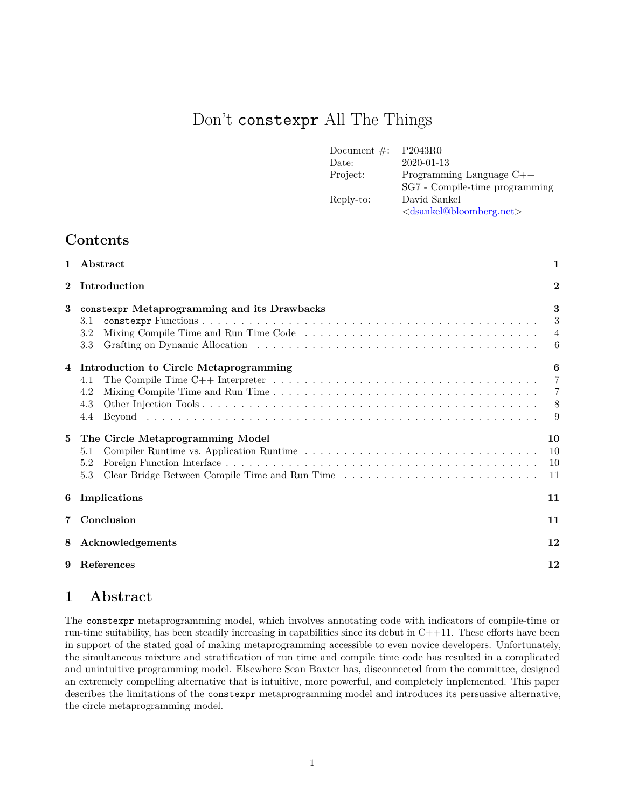# Don't constexpr All The Things

| Document $\#$ : | P2043R0                                         |
|-----------------|-------------------------------------------------|
| Date:           | 2020-01-13                                      |
| Project:        | Programming Language $C++$                      |
|                 | SG7 - Compile-time programming                  |
| Reply-to:       | David Sankel                                    |
|                 | <dsankel@bloomberg.net></dsankel@bloomberg.net> |

# **Contents**

| $\mathbf{1}$ | Abstract                                                                                                                                                                                       | $\mathbf{1}$                                    |
|--------------|------------------------------------------------------------------------------------------------------------------------------------------------------------------------------------------------|-------------------------------------------------|
| $\mathbf{2}$ | Introduction                                                                                                                                                                                   | $\overline{2}$                                  |
| 3            | constexpr Metaprogramming and its Drawbacks<br>3.1<br>3.2<br>3.3                                                                                                                               | 3<br>3<br>$\overline{4}$<br>6                   |
| 4            | Introduction to Circle Metaprogramming<br>The Compile Time $C++$ Interpreter $\ldots \ldots \ldots \ldots \ldots \ldots \ldots \ldots \ldots \ldots \ldots \ldots$<br>4.1<br>4.2<br>4.3<br>4.4 | 6<br>$\overline{7}$<br>$\overline{7}$<br>8<br>9 |
| 5            | The Circle Metaprogramming Model<br>5.1<br>5.2<br>Clear Bridge Between Compile Time and Run Time<br>5.3                                                                                        | 10<br>10<br>10<br>11                            |
| 6            | Implications                                                                                                                                                                                   | 11                                              |
| 7            | Conclusion                                                                                                                                                                                     |                                                 |
| 8            | Acknowledgements                                                                                                                                                                               |                                                 |
| 9            | References                                                                                                                                                                                     | 12                                              |

# <span id="page-0-0"></span>**1 Abstract**

The constexpr metaprogramming model, which involves annotating code with indicators of compile-time or run-time suitability, has been steadily increasing in capabilities since its debut in  $C++11$ . These efforts have been in support of the stated goal of making metaprogramming accessible to even novice developers. Unfortunately, the simultaneous mixture and stratification of run time and compile time code has resulted in a complicated and unintuitive programming model. Elsewhere Sean Baxter has, disconnected from the committee, designed an extremely compelling alternative that is intuitive, more powerful, and completely implemented. This paper describes the limitations of the constexpr metaprogramming model and introduces its persuasive alternative, the circle metaprogramming model.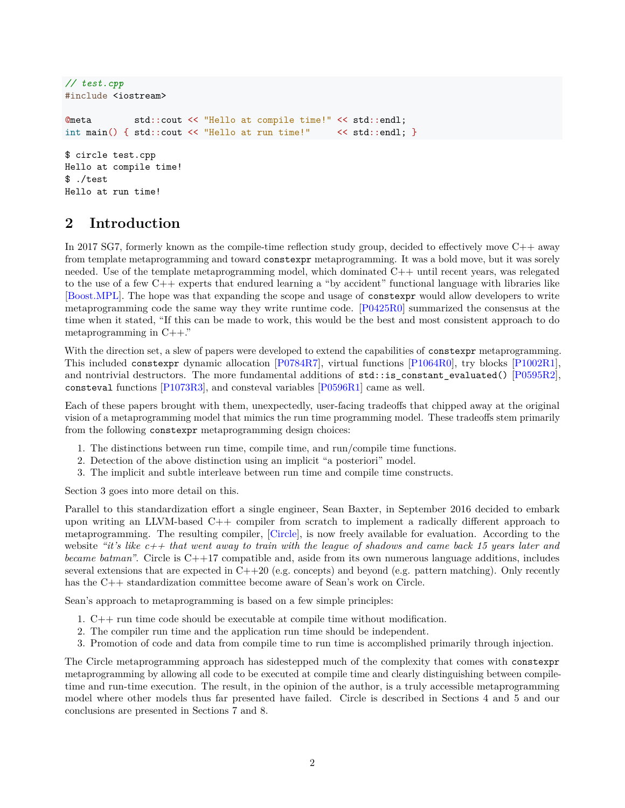```
// test.cpp
#include <iostream>
@meta std::cout << "Hello at compile time!" << std::endl;
int main() { std::cout << "Hello at run time!" << std::endl; }
$ circle test.cpp
Hello at compile time!
$ ./test
Hello at run time!
```
# <span id="page-1-0"></span>**2 Introduction**

In 2017 SG7, formerly known as the compile-time reflection study group, decided to effectively move C++ away from template metaprogramming and toward constexpr metaprogramming. It was a bold move, but it was sorely needed. Use of the template metaprogramming model, which dominated C++ until recent years, was relegated to the use of a few C++ experts that endured learning a "by accident" functional language with libraries like [\[Boost.MPL\]](#page-11-2). The hope was that expanding the scope and usage of constexpr would allow developers to write metaprogramming code the same way they write runtime code. [\[P0425R0\]](#page-11-3) summarized the consensus at the time when it stated, "If this can be made to work, this would be the best and most consistent approach to do metaprogramming in C++."

With the direction set, a slew of papers were developed to extend the capabilities of constexpr metaprogramming. This included constexpr dynamic allocation [\[P0784R7\]](#page-11-4), virtual functions [\[P1064R0\]](#page-11-5), try blocks [\[P1002R1\]](#page-11-6), and nontrivial destructors. The more fundamental additions of  $\text{std}$ ::is\_constant\_evaluated() [\[P0595R2\]](#page-11-7), consteval functions [\[P1073R3\]](#page-11-8), and consteval variables [\[P0596R1\]](#page-11-9) came as well.

Each of these papers brought with them, unexpectedly, user-facing tradeoffs that chipped away at the original vision of a metaprogramming model that mimics the run time programming model. These tradeoffs stem primarily from the following constexpr metaprogramming design choices:

- 1. The distinctions between run time, compile time, and run/compile time functions.
- 2. Detection of the above distinction using an implicit "a posteriori" model.
- 3. The implicit and subtle interleave between run time and compile time constructs.

Section 3 goes into more detail on this.

Parallel to this standardization effort a single engineer, Sean Baxter, in September 2016 decided to embark upon writing an LLVM-based  $C++$  compiler from scratch to implement a radically different approach to metaprogramming. The resulting compiler, [\[Circle\]](#page-11-10), is now freely available for evaluation. According to the website *"it's like c++ that went away to train with the league of shadows and came back 15 years later and became batman"*. Circle is C++17 compatible and, aside from its own numerous language additions, includes several extensions that are expected in  $C++20$  (e.g. concepts) and beyond (e.g. pattern matching). Only recently has the C++ standardization committee become aware of Sean's work on Circle.

Sean's approach to metaprogramming is based on a few simple principles:

- 1. C++ run time code should be executable at compile time without modification.
- 2. The compiler run time and the application run time should be independent.
- 3. Promotion of code and data from compile time to run time is accomplished primarily through injection.

The Circle metaprogramming approach has sidestepped much of the complexity that comes with constexpr metaprogramming by allowing all code to be executed at compile time and clearly distinguishing between compiletime and run-time execution. The result, in the opinion of the author, is a truly accessible metaprogramming model where other models thus far presented have failed. Circle is described in Sections 4 and 5 and our conclusions are presented in Sections 7 and 8.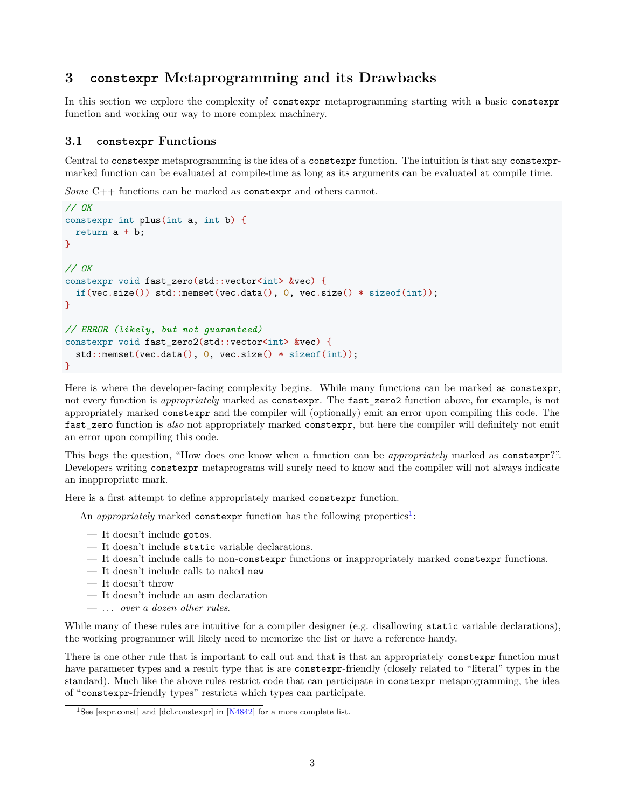# <span id="page-2-0"></span>**3 constexpr Metaprogramming and its Drawbacks**

In this section we explore the complexity of constexpr metaprogramming starting with a basic constexpr function and working our way to more complex machinery.

#### <span id="page-2-1"></span>**3.1 constexpr Functions**

Central to constexpr metaprogramming is the idea of a constexpr function. The intuition is that any constexprmarked function can be evaluated at compile-time as long as its arguments can be evaluated at compile time.

*Some* C++ functions can be marked as constexpr and others cannot.

```
// OK
constexpr int plus(int a, int b) {
 return a + b;
}
// OK
constexpr void fast_zero(std::vector<int> &vec) {
 if(vec.size()) std::memset(vec.data(), 0, vec.size() * sizeof(int));
}
// ERROR (likely, but not guaranteed)
constexpr void fast_zero2(std::vector<int> &vec) {
  std::memset(vec.data(), 0, vec.size() * sizeof(int));
}
```
Here is where the developer-facing complexity begins. While many functions can be marked as constexpr, not every function is *appropriately* marked as constexpr. The fast\_zero2 function above, for example, is not appropriately marked constexpr and the compiler will (optionally) emit an error upon compiling this code. The fast\_zero function is *also* not appropriately marked constexpr, but here the compiler will definitely not emit an error upon compiling this code.

This begs the question, "How does one know when a function can be *appropriately* marked as constexpr?". Developers writing constexpr metaprograms will surely need to know and the compiler will not always indicate an inappropriate mark.

Here is a first attempt to define appropriately marked constexpr function.

An *appropriately* marked constexpr function has the following properties<sup>[1](#page-2-2)</sup>:

- It doesn't include gotos.
- It doesn't include static variable declarations.
- It doesn't include calls to non-constexpr functions or inappropriately marked constexpr functions.
- It doesn't include calls to naked new
- It doesn't throw
- It doesn't include an asm declaration
- . . . *over a dozen other rules*.

While many of these rules are intuitive for a compiler designer (e.g. disallowing static variable declarations), the working programmer will likely need to memorize the list or have a reference handy.

There is one other rule that is important to call out and that is that an appropriately constexpr function must have parameter types and a result type that is are constexpr-friendly (closely related to "literal" types in the standard). Much like the above rules restrict code that can participate in constexpr metaprogramming, the idea of "constexpr-friendly types" restricts which types can participate.

<span id="page-2-2"></span><sup>&</sup>lt;sup>1</sup>See [expr.const] and [dcl.constexpr] in [\[N4842\]](#page-11-11) for a more complete list.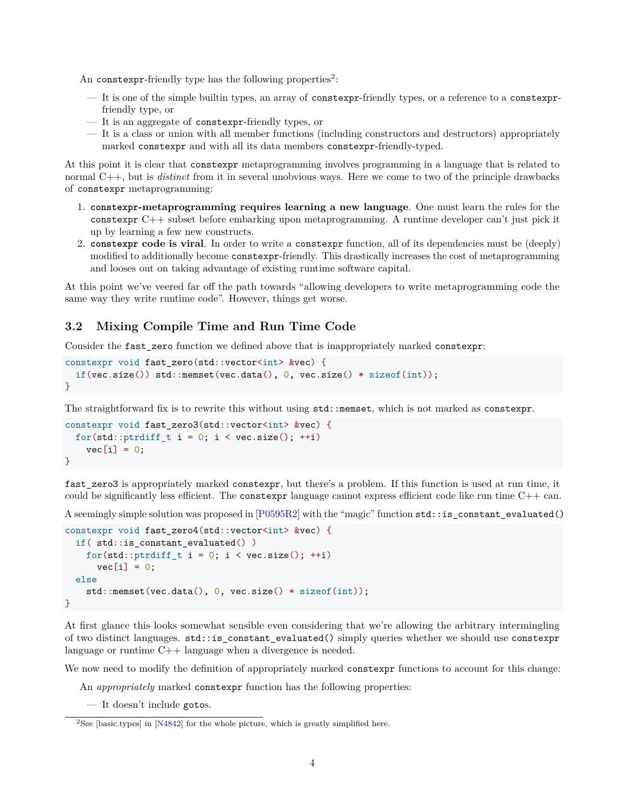An constexpr-friendly type has the following properties<sup>[2](#page-3-1)</sup>:

- It is one of the simple builtin types, an array of constexpr-friendly types, or a reference to a constexprfriendly type, or
- It is an aggregate of constexpr-friendly types, or
- It is a class or union with all member functions (including constructors and destructors) appropriately marked constexpr and with all its data members constexpr-friendly-typed.

At this point it is clear that constexpr metaprogramming involves programming in a language that is related to normal C++, but is *distinct* from it in several unobvious ways. Here we come to two of the principle drawbacks of constexpr metaprogramming:

- 1. **constexpr-metaprogramming requires learning a new language**. One must learn the rules for the constexpr C++ subset before embarking upon metaprogramming. A runtime developer can't just pick it up by learning a few new constructs.
- 2. **constexpr code is viral**. In order to write a constexpr function, all of its dependencies must be (deeply) modified to additionally become constexpr-friendly. This drastically increases the cost of metaprogramming and looses out on taking advantage of existing runtime software capital.

At this point we've veered far off the path towards "allowing developers to write metaprogramming code the same way they write runtime code". However, things get worse.

#### <span id="page-3-0"></span>**3.2 Mixing Compile Time and Run Time Code**

Consider the fast\_zero function we defined above that is inappropriately marked constexpr:

```
constexpr void fast_zero(std::vector<int> &vec) {
  if(vec.size()) std::memset(vec.data(), 0, vec.size() * sizeof(int));
}
```
The straightforward fix is to rewrite this without using  $std:$ : memset, which is not marked as constexpr.

```
constexpr void fast_zero3(std::vector<int> &vec) {
  for(std::ptrdiff_t i = 0; i < vec.size(); ++i)
   vec[i] = 0;}
```
fast\_zero3 is appropriately marked constexpr, but there's a problem. If this function is used at run time, it could be significantly less efficient. The constexpr language cannot express efficient code like run time  $C++$  can.

A seemingly simple solution was proposed in [\[P0595R2\]](#page-11-7) with the "magic" function std::is\_constant\_evaluated()

```
constexpr void fast zero4(std::vector<int> &vec) {
  if( std::is_constant_evaluated() )
   for(std::ptrdiff_t i = 0; i < vec.size(); ++i)
      vec[i] = 0;
  else
    std::memset(vec.data(), 0, vec.size() * sizeof(int));
}
```
At first glance this looks somewhat sensible even considering that we're allowing the arbitrary intermingling of two distinct languages. std::is\_constant\_evaluated() simply queries whether we should use constexpr language or runtime C++ language when a divergence is needed.

We now need to modify the definition of appropriately marked constexpr functions to account for this change:

An *appropriately* marked constexpr function has the following properties:

— It doesn't include gotos.

<span id="page-3-1"></span><sup>&</sup>lt;sup>2</sup>See [basic.types] in  $[N4842]$  for the whole picture, which is greatly simplified here.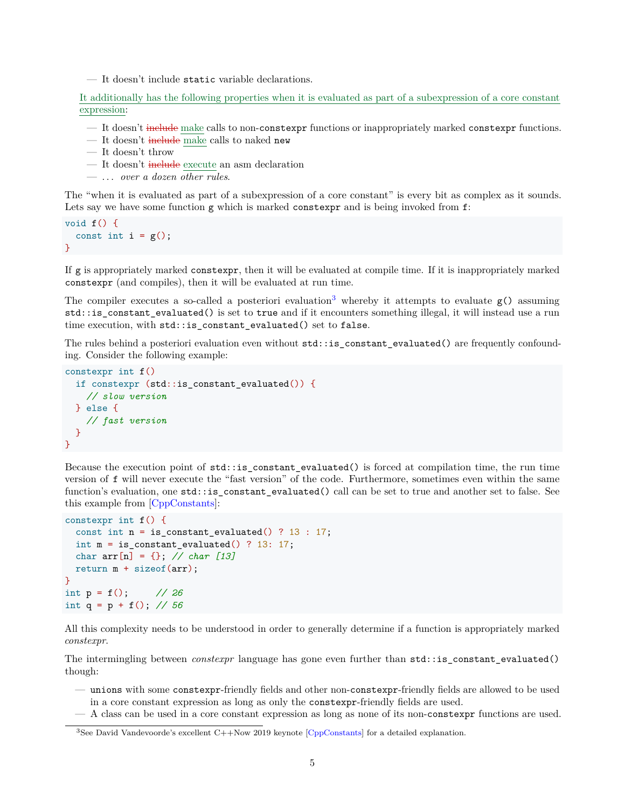— It doesn't include static variable declarations.

It additionally has the following properties when it is evaluated as part of a subexpression of a core constant expression:

— It doesn't include make calls to non-constexpr functions or inappropriately marked constexpr functions.

- It doesn't include make calls to naked new
- It doesn't throw
- It doesn't include execute an asm declaration
- . . . *over a dozen other rules*.

The "when it is evaluated as part of a subexpression of a core constant" is every bit as complex as it sounds. Lets say we have some function g which is marked constexpr and is being invoked from  $f$ :

void f() { const int  $i = g()$ ; }

If g is appropriately marked constexpr, then it will be evaluated at compile time. If it is inappropriately marked constexpr (and compiles), then it will be evaluated at run time.

The compiler executes a so-called a posteriori evaluation<sup>[3](#page-4-0)</sup> whereby it attempts to evaluate  $g()$  assuming std::is\_constant\_evaluated() is set to true and if it encounters something illegal, it will instead use a run time execution, with std::is\_constant\_evaluated() set to false.

The rules behind a posteriori evaluation even without std::is\_constant\_evaluated() are frequently confounding. Consider the following example:

```
constexpr int f()
  if constexpr (std:: is constant evaluated()) {
    // slow version
  } else {
    // fast version
 }
}
```
Because the execution point of std::is\_constant\_evaluated() is forced at compilation time, the run time version of f will never execute the "fast version" of the code. Furthermore, sometimes even within the same function's evaluation, one std::is\_constant\_evaluated() call can be set to true and another set to false. See this example from [\[CppConstants\]](#page-11-12):

```
constexpr int f() {
  const int n = is_{constant_{evaluated() ? 13 : 17;int m = is_{constant} evaluated() ? 13: 17;
  char arr[n] = {}; // char [13]
 return m + sizeof(arr);
}
int p = f(); // 26
int q = p + f(); // 56
```
All this complexity needs to be understood in order to generally determine if a function is appropriately marked *constexpr*.

The intermingling between *constexpr* language has gone even further than std::is\_constant\_evaluated() though:

- unions with some constexpr-friendly fields and other non-constexpr-friendly fields are allowed to be used in a core constant expression as long as only the constexpr-friendly fields are used.
- A class can be used in a core constant expression as long as none of its non-constexpr functions are used.

<span id="page-4-0"></span><sup>3</sup>See David Vandevoorde's excellent C++Now 2019 keynote [\[CppConstants\]](#page-11-12) for a detailed explanation.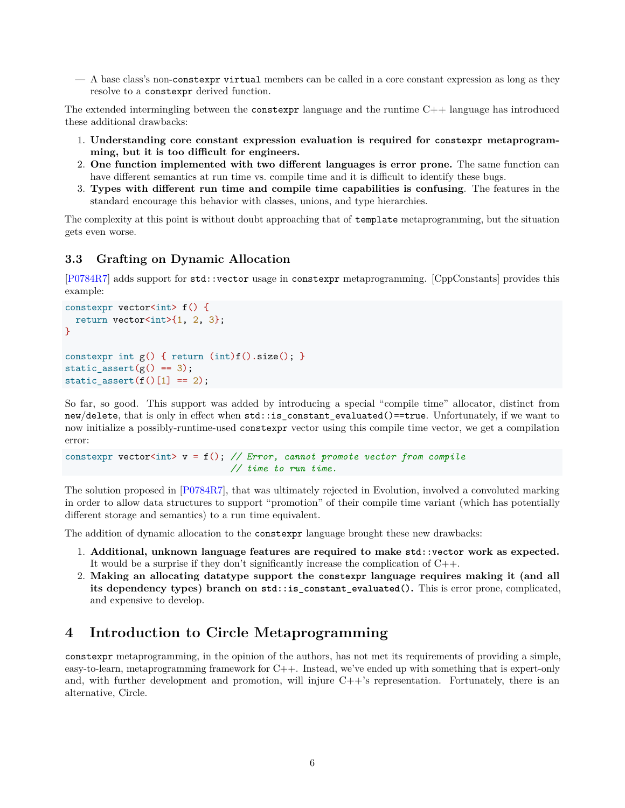— A base class's non-constexpr virtual members can be called in a core constant expression as long as they resolve to a constexpr derived function.

The extended intermingling between the constexpr language and the runtime C++ language has introduced these additional drawbacks:

- 1. **Understanding core constant expression evaluation is required for constexpr metaprogramming, but it is too difficult for engineers.**
- 2. **One function implemented with two different languages is error prone.** The same function can have different semantics at run time vs. compile time and it is difficult to identify these bugs.
- 3. **Types with different run time and compile time capabilities is confusing**. The features in the standard encourage this behavior with classes, unions, and type hierarchies.

The complexity at this point is without doubt approaching that of template metaprogramming, but the situation gets even worse.

#### <span id="page-5-0"></span>**3.3 Grafting on Dynamic Allocation**

[\[P0784R7\]](#page-11-4) adds support for std::vector usage in constexpr metaprogramming. [CppConstants] provides this example:

```
constexpr vector<int> f() {
  return vector<int>\{1, 2, 3\};}
constexpr int g() { return (int) f().size(); }
static_assert(g() == 3);
static_assert(f()[1] == 2);
```
So far, so good. This support was added by introducing a special "compile time" allocator, distinct from new/delete, that is only in effect when std::is\_constant\_evaluated()==true. Unfortunately, if we want to now initialize a possibly-runtime-used constexpr vector using this compile time vector, we get a compilation error:

```
constexpr vector<int> v = f(); // Error, cannot promote vector from compile
                               // time to run time.
```
The solution proposed in [\[P0784R7\]](#page-11-4), that was ultimately rejected in Evolution, involved a convoluted marking in order to allow data structures to support "promotion" of their compile time variant (which has potentially different storage and semantics) to a run time equivalent.

The addition of dynamic allocation to the constexpr language brought these new drawbacks:

- 1. **Additional, unknown language features are required to make std::vector work as expected.** It would be a surprise if they don't significantly increase the complication of C++.
- 2. **Making an allocating datatype support the constexpr language requires making it (and all its dependency types) branch on std::is\_constant\_evaluated().** This is error prone, complicated, and expensive to develop.

### <span id="page-5-1"></span>**4 Introduction to Circle Metaprogramming**

constexpr metaprogramming, in the opinion of the authors, has not met its requirements of providing a simple, easy-to-learn, metaprogramming framework for C++. Instead, we've ended up with something that is expert-only and, with further development and promotion, will injure  $C++$ 's representation. Fortunately, there is an alternative, Circle.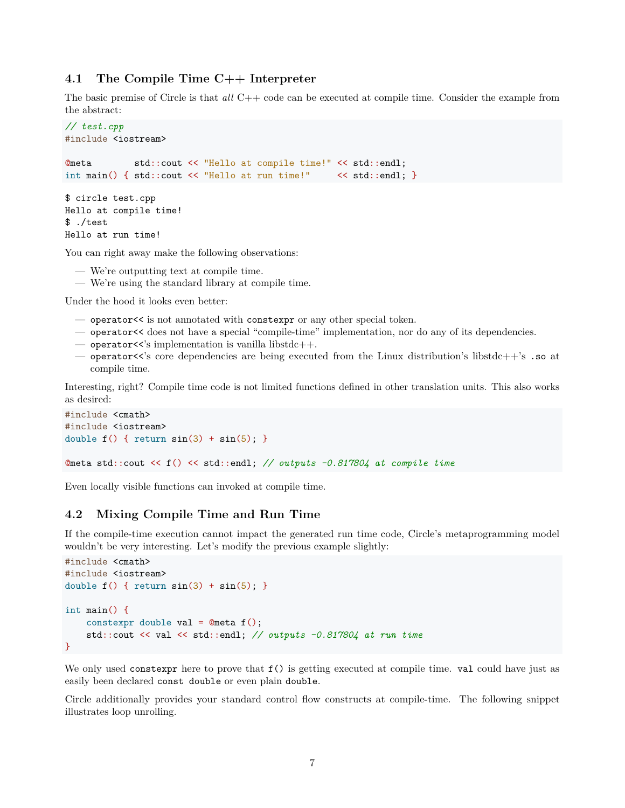#### <span id="page-6-0"></span>**4.1 The Compile Time C++ Interpreter**

The basic premise of Circle is that *all* C++ code can be executed at compile time. Consider the example from the abstract:

```
// test.cpp
#include <iostream>
@meta std::cout << "Hello at compile time!" << std::endl;
int main() { std::cout << "Hello at run time!" << std::endl; }
$ circle test.cpp
Hello at compile time!
$ ./test
Hello at run time!
```
You can right away make the following observations:

- We're outputting text at compile time.
- We're using the standard library at compile time.

Under the hood it looks even better:

- operator<< is not annotated with constexpr or any other special token.
- operator<< does not have a special "compile-time" implementation, nor do any of its dependencies.
- $-$  operator  $\leq$ 's implementation is vanilla libstdc++.
- $-$  operator  $\leq$ 's core dependencies are being executed from the Linux distribution's libstdc++'s . so at compile time.

Interesting, right? Compile time code is not limited functions defined in other translation units. This also works as desired:

```
#include <cmath>
#include <iostream>
double f() { return sin(3) + sin(5); }
@meta std::cout << f() << std::endl; // outputs -0.817804 at compile time
```
Even locally visible functions can invoked at compile time.

#### <span id="page-6-1"></span>**4.2 Mixing Compile Time and Run Time**

If the compile-time execution cannot impact the generated run time code, Circle's metaprogramming model wouldn't be very interesting. Let's modify the previous example slightly:

```
#include <cmath>
#include <iostream>
double f() \{ return sin(3) + sin(5); \}int main() {
   constexpr double val = @meta f();
   std::cout << val << std::endl; // outputs -0.817804 at run time
}
```
We only used constexpr here to prove that  $f()$  is getting executed at compile time. val could have just as easily been declared const double or even plain double.

Circle additionally provides your standard control flow constructs at compile-time. The following snippet illustrates loop unrolling.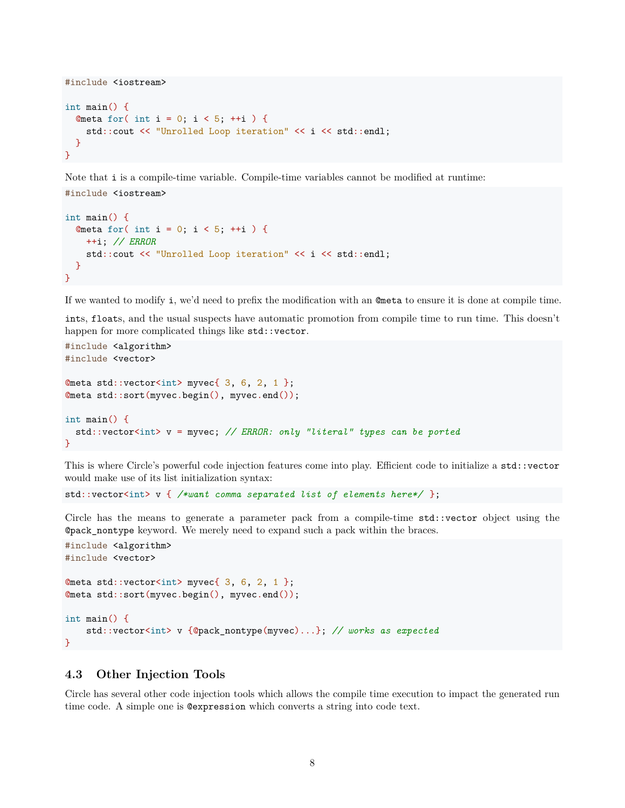```
#include <iostream>
int main() {
 Qmeta for( int i = 0; i < 5; ++i ) {
   std::cout << "Unrolled Loop iteration" << i << std::endl;
  }
}
```
Note that i is a compile-time variable. Compile-time variables cannot be modified at runtime: #include <iostream>

```
int main() {
 Qmeta for( int i = 0; i < 5; ++i ) {
   ++i; // ERROR
   std::cout << "Unrolled Loop iteration" << i << std::endl;
 }
}
```
If we wanted to modify i, we'd need to prefix the modification with an @meta to ensure it is done at compile time.

ints, floats, and the usual suspects have automatic promotion from compile time to run time. This doesn't happen for more complicated things like std::vector.

```
#include <algorithm>
#include <vector>
Qmeta std::vector<int> myvec{ 3, 6, 2, 1 };
@meta std::sort(myvec.begin(), myvec.end());
int main() {
  std::vector<int> v = myvec; // ERROR: only "literal" types can be ported
}
```
This is where Circle's powerful code injection features come into play. Efficient code to initialize a std::vector would make use of its list initialization syntax:

```
std::vector<int> v { /*want comma separated list of elements here*/ };
```
Circle has the means to generate a parameter pack from a compile-time std::vector object using the @pack\_nontype keyword. We merely need to expand such a pack within the braces.

```
#include <algorithm>
#include <vector>
Qmeta std::vector<int> myvec{ 3, 6, 2, 1 };
@meta std::sort(myvec.begin(), myvec.end());
int main() {
    std::vector<int> v {@pack_nontype(myvec)...}; // works as expected
}
```
#### <span id="page-7-0"></span>**4.3 Other Injection Tools**

Circle has several other code injection tools which allows the compile time execution to impact the generated run time code. A simple one is @expression which converts a string into code text.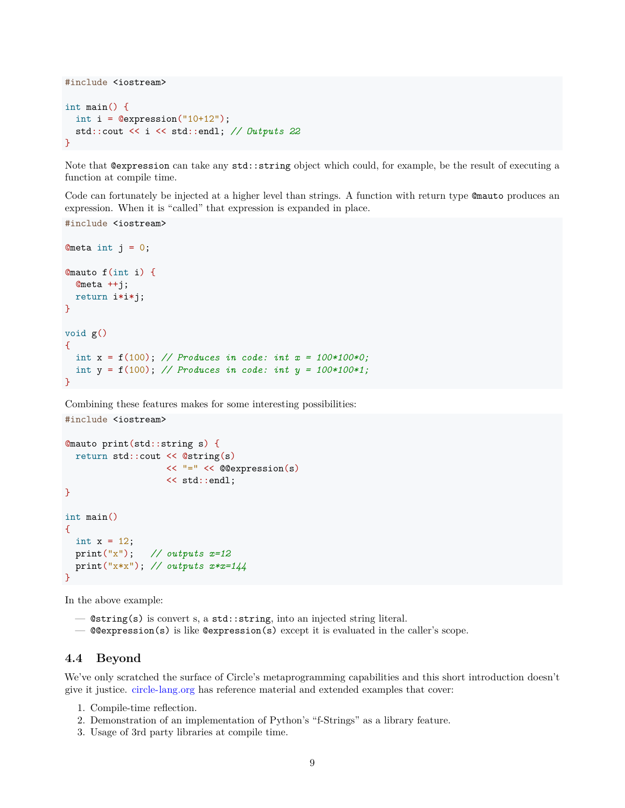```
#include <iostream>
int main() {
 int i = 0expression("10+12");
  std::cout << i << std::endl; // Outputs 22
}
```
Note that @expression can take any std::string object which could, for example, be the result of executing a function at compile time.

Code can fortunately be injected at a higher level than strings. A function with return type @mauto produces an expression. When it is "called" that expression is expanded in place.

```
#include <iostream>
```

```
Ometa int j = 0;
@mauto f(int i) {
  @meta ++j;
 return i*i*j;
}
void g()
{
 int x = f(100); // Produces in code: int x = 100*100*0;
  int y = f(100); // Produces in code: int y = 100*100*1;
}
```
Combining these features makes for some interesting possibilities:

```
@mauto print(std::string s) {
  return std::cout << @string(s)
                   << "=" << @@expression(s)
                   << std::endl;
}
int main()
{
 int x = 12;
  print("x"); // outputs x=12
 print("x*x"); // outputs x*x=144
}
```
In the above example:

#include <iostream>

- @string(s) is convert s, a std::string, into an injected string literal.
- $\sim$  @@expression(s) is like @expression(s) except it is evaluated in the caller's scope.

#### <span id="page-8-0"></span>**4.4 Beyond**

We've only scratched the surface of Circle's metaprogramming capabilities and this short introduction doesn't give it justice. <circle-lang.org> has reference material and extended examples that cover:

- 1. Compile-time reflection.
- 2. Demonstration of an implementation of Python's "f-Strings" as a library feature.
- 3. Usage of 3rd party libraries at compile time.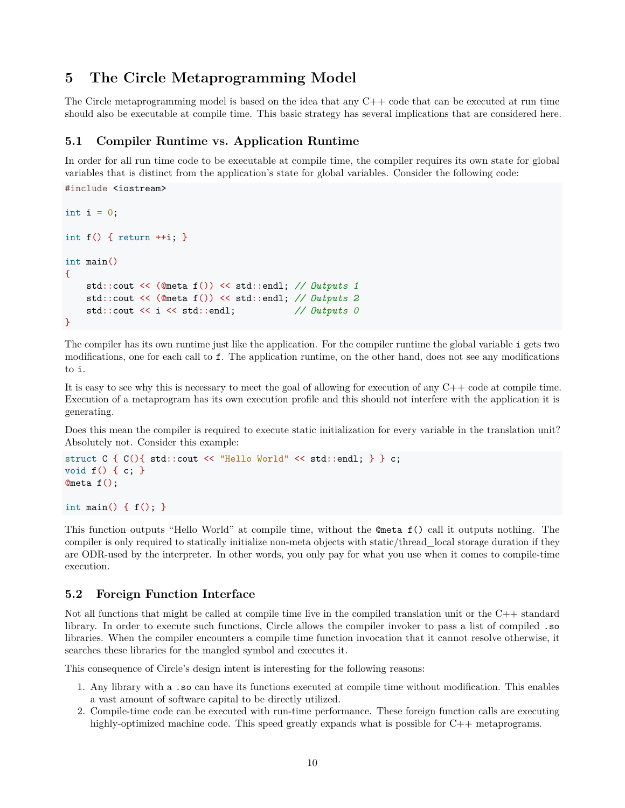# <span id="page-9-0"></span>**5 The Circle Metaprogramming Model**

The Circle metaprogramming model is based on the idea that any C++ code that can be executed at run time should also be executable at compile time. This basic strategy has several implications that are considered here.

#### <span id="page-9-1"></span>**5.1 Compiler Runtime vs. Application Runtime**

In order for all run time code to be executable at compile time, the compiler requires its own state for global variables that is distinct from the application's state for global variables. Consider the following code:

```
#include <iostream>
int i = 0;
int f() \{ return ++i; }int main()
{
   std::cout << (@meta f()) << std::endl; // Outputs 1
   std::cout << (@meta f()) << std::endl; // Outputs 2
   std::cout << i << std::endl; // Outputs 0
}
```
The compiler has its own runtime just like the application. For the compiler runtime the global variable i gets two modifications, one for each call to f. The application runtime, on the other hand, does not see any modifications to i.

It is easy to see why this is necessary to meet the goal of allowing for execution of any  $C++$  code at compile time. Execution of a metaprogram has its own execution profile and this should not interfere with the application it is generating.

Does this mean the compiler is required to execute static initialization for every variable in the translation unit? Absolutely not. Consider this example:

```
struct C { C(){ std::cout << "Hello World" << std::endl; } } c;
void f() { c; }
@meta f();
```
int main() {  $f()$ ; }

This function outputs "Hello World" at compile time, without the @meta f() call it outputs nothing. The compiler is only required to statically initialize non-meta objects with static/thread\_local storage duration if they are ODR-used by the interpreter. In other words, you only pay for what you use when it comes to compile-time execution.

#### <span id="page-9-2"></span>**5.2 Foreign Function Interface**

Not all functions that might be called at compile time live in the compiled translation unit or the C++ standard library. In order to execute such functions, Circle allows the compiler invoker to pass a list of compiled .so libraries. When the compiler encounters a compile time function invocation that it cannot resolve otherwise, it searches these libraries for the mangled symbol and executes it.

This consequence of Circle's design intent is interesting for the following reasons:

- 1. Any library with a .so can have its functions executed at compile time without modification. This enables a vast amount of software capital to be directly utilized.
- 2. Compile-time code can be executed with run-time performance. These foreign function calls are executing highly-optimized machine code. This speed greatly expands what is possible for C++ metaprograms.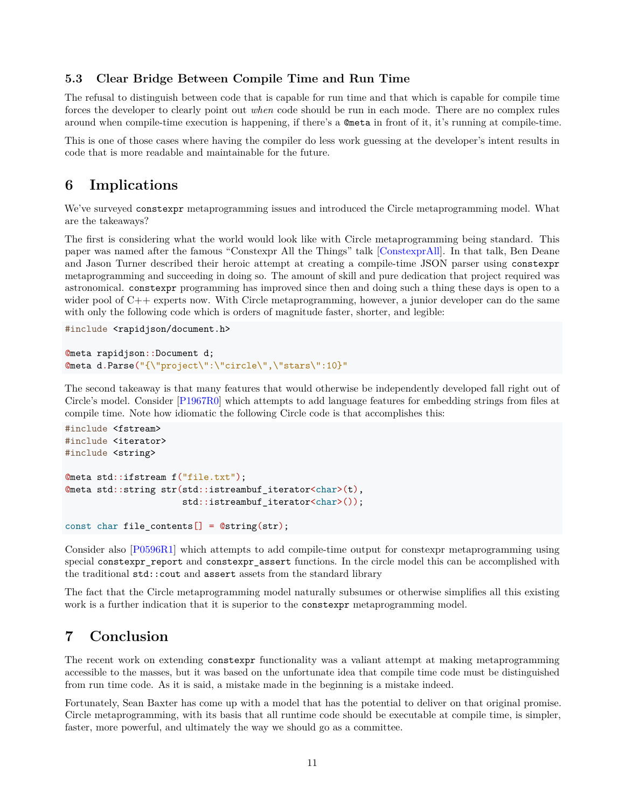#### <span id="page-10-0"></span>**5.3 Clear Bridge Between Compile Time and Run Time**

The refusal to distinguish between code that is capable for run time and that which is capable for compile time forces the developer to clearly point out *when* code should be run in each mode. There are no complex rules around when compile-time execution is happening, if there's a @meta in front of it, it's running at compile-time.

This is one of those cases where having the compiler do less work guessing at the developer's intent results in code that is more readable and maintainable for the future.

### <span id="page-10-1"></span>**6 Implications**

We've surveyed constexpr metaprogramming issues and introduced the Circle metaprogramming model. What are the takeaways?

The first is considering what the world would look like with Circle metaprogramming being standard. This paper was named after the famous "Constexpr All the Things" talk [\[ConstexprAll\]](#page-11-13). In that talk, Ben Deane and Jason Turner described their heroic attempt at creating a compile-time JSON parser using constexpr metaprogramming and succeeding in doing so. The amount of skill and pure dedication that project required was astronomical. constexpr programming has improved since then and doing such a thing these days is open to a wider pool of C++ experts now. With Circle metaprogramming, however, a junior developer can do the same with only the following code which is orders of magnitude faster, shorter, and legible:

```
#include <rapidjson/document.h>
```

```
@meta rapidjson::Document d;
@meta d.Parse("{\"project\":\"circle\",\"stars\":10}"
```
The second takeaway is that many features that would otherwise be independently developed fall right out of Circle's model. Consider [\[P1967R0\]](#page-11-14) which attempts to add language features for embedding strings from files at compile time. Note how idiomatic the following Circle code is that accomplishes this:

```
#include <fstream>
#include <iterator>
#include <string>
@meta std::ifstream f("file.txt");
@meta std::string str(std::istreambuf_iterator<char>(t),
                      std::istreambuf_iterator<char>());
```

```
const char file_contents[] = @string(str);
```
Consider also [\[P0596R1\]](#page-11-9) which attempts to add compile-time output for constexpr metaprogramming using special constexpr\_report and constexpr\_assert functions. In the circle model this can be accomplished with the traditional std::cout and assert assets from the standard library

The fact that the Circle metaprogramming model naturally subsumes or otherwise simplifies all this existing work is a further indication that it is superior to the constexpr metaprogramming model.

# <span id="page-10-2"></span>**7 Conclusion**

The recent work on extending constexpr functionality was a valiant attempt at making metaprogramming accessible to the masses, but it was based on the unfortunate idea that compile time code must be distinguished from run time code. As it is said, a mistake made in the beginning is a mistake indeed.

Fortunately, Sean Baxter has come up with a model that has the potential to deliver on that original promise. Circle metaprogramming, with its basis that all runtime code should be executable at compile time, is simpler, faster, more powerful, and ultimately the way we should go as a committee.